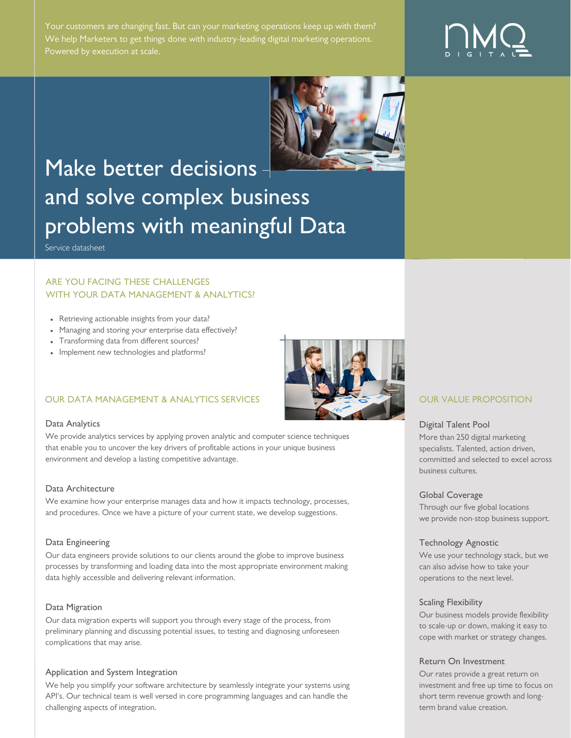Your customers are changing fast. But can your marketing operations keep up with them? We help Marketers to get things done with industry-leading digital marketing operations.



# Make better decisions and solve complex business problems with meaningful Data

Service datasheet

# ARE YOU FACING THESE CHALLENGES WITH YOUR DATA MANAGEMENT & ANALYTICS?

- Retrieving actionable insights from your data?
- Managing and storing your enterprise data effectively?
- Transforming data from different sources?
- Implement new technologies and platforms?

## OUR DATA MANAGEMENT & ANALYTICS SERVICES **OUR VALUE PROPOSITION**

#### Data Analytics

We provide analytics services by applying proven analytic and computer science techniques that enable you to uncover the key drivers of profitable actions in your unique business environment and develop a lasting competitive advantage.

#### Data Architecture

We examine how your enterprise manages data and how it impacts technology, processes, and procedures. Once we have a picture of your current state, we develop suggestions.

#### Data Engineering

Our data engineers provide solutions to our clients around the globe to improve business processes by transforming and loading data into the most appropriate environment making data highly accessible and delivering relevant information.

#### Data Migration

Our data migration experts will support you through every stage of the process, from preliminary planning and discussing potential issues, to testing and diagnosing unforeseen complications that may arise.

#### Application and System Integration

We help you simplify your software architecture by seamlessly integrate your systems using API's. Our technical team is well versed in core programming languages and can handle the challenging aspects of integration.



#### Digital Talent Pool

More than 250 digital marketing specialists. Talented, action driven, committed and selected to excel across business cultures.

#### Global Coverage

Through our five global locations we provide non-stop business support.

#### Technology Agnostic

We use your technology stack, but we can also advise how to take your operations to the next level.

#### Scaling Flexibility

Our business models provide flexibility to scale-up or down, making it easy to cope with market or strategy changes.

#### Return On Investment

Our rates provide a great return on investment and free up time to focus on short term revenue growth and longterm brand value creation.